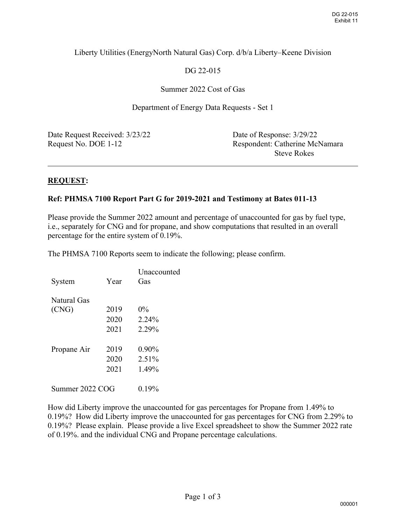# Liberty Utilities (EnergyNorth Natural Gas) Corp. d/b/a Liberty–Keene Division

# DG 22-015

## Summer 2022 Cost of Gas

Department of Energy Data Requests - Set 1

| Date Request Received: 3/23/22 | Date of Response: 3/29/22      |
|--------------------------------|--------------------------------|
| Request No. DOE 1-12           | Respondent: Catherine McNamara |
|                                | <b>Steve Rokes</b>             |

#### **REQUEST:**

#### **Ref: PHMSA 7100 Report Part G for 2019-2021 and Testimony at Bates 011-13**

Please provide the Summer 2022 amount and percentage of unaccounted for gas by fuel type, i.e., separately for CNG and for propane, and show computations that resulted in an overall percentage for the entire system of 0.19%.

The PHMSA 7100 Reports seem to indicate the following; please confirm.

| System          | Year | Unaccounted<br>Gas |
|-----------------|------|--------------------|
| Natural Gas     |      |                    |
| (CNG)           | 2019 | $0\%$              |
|                 | 2020 | $2.24\%$           |
|                 | 2021 | 2.29%              |
| Propane Air     | 2019 | $0.90\%$           |
|                 | 2020 | $2.51\%$           |
|                 | 2021 | 1.49%              |
| Summer 2022 COG |      | $0.19\%$           |

How did Liberty improve the unaccounted for gas percentages for Propane from 1.49% to 0.19%? How did Liberty improve the unaccounted for gas percentages for CNG from 2.29% to 0.19%? Please explain. Please provide a live Excel spreadsheet to show the Summer 2022 rate of 0.19%. and the individual CNG and Propane percentage calculations.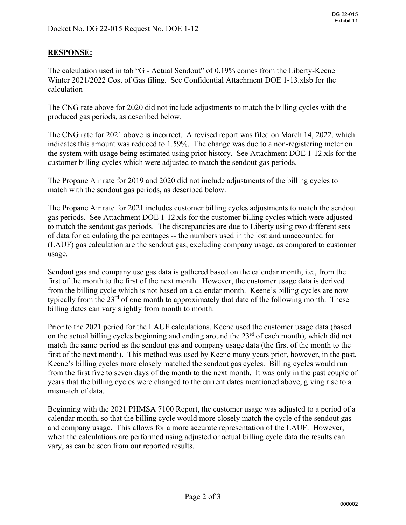## **RESPONSE:**

The calculation used in tab "G - Actual Sendout" of 0.19% comes from the Liberty-Keene Winter 2021/2022 Cost of Gas filing. See Confidential Attachment DOE 1-13.xlsb for the calculation

The CNG rate above for 2020 did not include adjustments to match the billing cycles with the produced gas periods, as described below.

The CNG rate for 2021 above is incorrect. A revised report was filed on March 14, 2022, which indicates this amount was reduced to 1.59%. The change was due to a non-registering meter on the system with usage being estimated using prior history. See Attachment DOE 1-12.xls for the customer billing cycles which were adjusted to match the sendout gas periods.

The Propane Air rate for 2019 and 2020 did not include adjustments of the billing cycles to match with the sendout gas periods, as described below.

The Propane Air rate for 2021 includes customer billing cycles adjustments to match the sendout gas periods. See Attachment DOE 1-12.xls for the customer billing cycles which were adjusted to match the sendout gas periods. The discrepancies are due to Liberty using two different sets of data for calculating the percentages -- the numbers used in the lost and unaccounted for (LAUF) gas calculation are the sendout gas, excluding company usage, as compared to customer usage.

Sendout gas and company use gas data is gathered based on the calendar month, i.e., from the first of the month to the first of the next month. However, the customer usage data is derived from the billing cycle which is not based on a calendar month. Keene's billing cycles are now typically from the 23<sup>rd</sup> of one month to approximately that date of the following month. These billing dates can vary slightly from month to month.

Prior to the 2021 period for the LAUF calculations, Keene used the customer usage data (based on the actual billing cycles beginning and ending around the  $23<sup>rd</sup>$  of each month), which did not match the same period as the sendout gas and company usage data (the first of the month to the first of the next month). This method was used by Keene many years prior, however, in the past, Keene's billing cycles more closely matched the sendout gas cycles. Billing cycles would run from the first five to seven days of the month to the next month. It was only in the past couple of years that the billing cycles were changed to the current dates mentioned above, giving rise to a mismatch of data.

Beginning with the 2021 PHMSA 7100 Report, the customer usage was adjusted to a period of a calendar month, so that the billing cycle would more closely match the cycle of the sendout gas and company usage. This allows for a more accurate representation of the LAUF. However, when the calculations are performed using adjusted or actual billing cycle data the results can vary, as can be seen from our reported results.